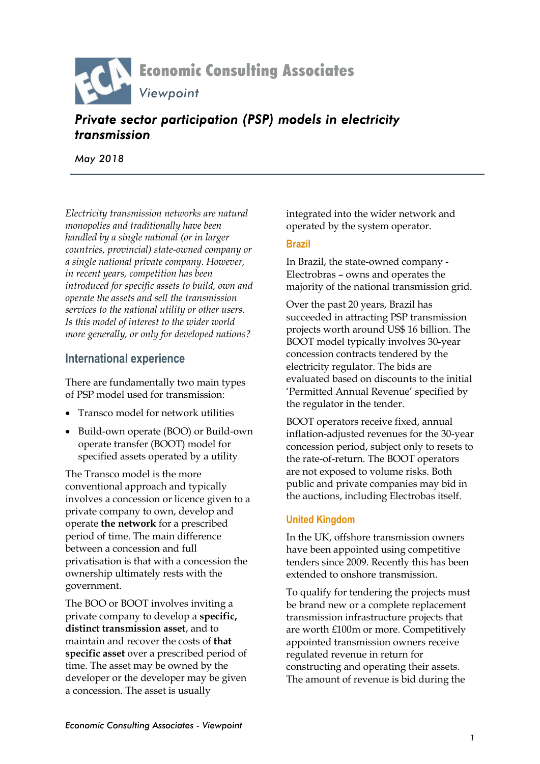

# *Private sector participation (PSP) models in electricity transmission*

*May 2018*

*Electricity transmission networks are natural monopolies and traditionally have been handled by a single national (or in larger countries, provincial) state-owned company or a single national private company. However, in recent years, competition has been introduced for specific assets to build, own and operate the assets and sell the transmission services to the national utility or other users. Is this model of interest to the wider world more generally, or only for developed nations?*

### **International experience**

There are fundamentally two main types of PSP model used for transmission:

- Transco model for network utilities
- Build-own operate (BOO) or Build-own operate transfer (BOOT) model for specified assets operated by a utility

The Transco model is the more conventional approach and typically involves a concession or licence given to a private company to own, develop and operate **the network** for a prescribed period of time. The main difference between a concession and full privatisation is that with a concession the ownership ultimately rests with the government.

The BOO or BOOT involves inviting a private company to develop a **specific, distinct transmission asset**, and to maintain and recover the costs of **that specific asset** over a prescribed period of time. The asset may be owned by the developer or the developer may be given a concession. The asset is usually

integrated into the wider network and operated by the system operator.

#### **Brazil**

In Brazil, the state-owned company - Electrobras – owns and operates the majority of the national transmission grid.

Over the past 20 years, Brazil has succeeded in attracting PSP transmission projects worth around US\$ 16 billion. The BOOT model typically involves 30-year concession contracts tendered by the electricity regulator. The bids are evaluated based on discounts to the initial 'Permitted Annual Revenue' specified by the regulator in the tender.

BOOT operators receive fixed, annual inflation-adjusted revenues for the 30-year concession period, subject only to resets to the rate-of-return. The BOOT operators are not exposed to volume risks. Both public and private companies may bid in the auctions, including Electrobas itself.

### **United Kingdom**

In the UK, offshore transmission owners have been appointed using competitive tenders since 2009. Recently this has been extended to onshore transmission.

To qualify for tendering the projects must be brand new or a complete replacement transmission infrastructure projects that are worth £100m or more. Competitively appointed transmission owners receive regulated revenue in return for constructing and operating their assets. The amount of revenue is bid during the